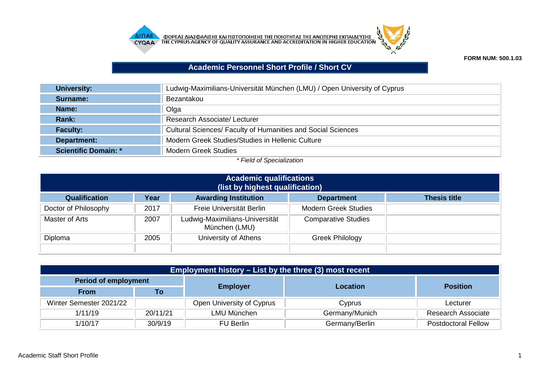



**FORM NUM: 500.1.03**

## **Academic Personnel Short Profile / Short CV**

| University:                 | Ludwig-Maximilians-Universität München (LMU) / Open University of Cyprus |
|-----------------------------|--------------------------------------------------------------------------|
| Surname:                    | Bezantakou                                                               |
| Name:                       | Olga                                                                     |
| <b>Rank:</b>                | Research Associate/ Lecturer                                             |
| <b>Faculty:</b>             | <b>Cultural Sciences/ Faculty of Humanities and Social Sciences</b>      |
| Department:                 | Modern Greek Studies/Studies in Hellenic Culture                         |
| <b>Scientific Domain: *</b> | <b>Modern Greek Studies</b>                                              |

## *\* Field of Specialization*

| <b>Academic qualifications</b><br>(list by highest qualification) |      |                                                 |                             |                     |
|-------------------------------------------------------------------|------|-------------------------------------------------|-----------------------------|---------------------|
| Qualification                                                     | Year | <b>Awarding Institution</b>                     | <b>Department</b>           | <b>Thesis title</b> |
| Doctor of Philosophy                                              | 2017 | Freie Universität Berlin                        | <b>Modern Greek Studies</b> |                     |
| Master of Arts                                                    | 2007 | Ludwig-Maximilians-Universität<br>München (LMU) | <b>Comparative Studies</b>  |                     |
| Diploma                                                           | 2005 | University of Athens                            | <b>Greek Philology</b>      |                     |
|                                                                   |      |                                                 |                             |                     |

| Employment history $-$ List by the three (3) most recent |          |                           |                 |                            |  |
|----------------------------------------------------------|----------|---------------------------|-----------------|----------------------------|--|
| <b>Period of employment</b>                              |          |                           |                 |                            |  |
| <b>From</b>                                              | To       | <b>Employer</b>           | <b>Location</b> | <b>Position</b>            |  |
| Winter Semester 2021/22                                  |          | Open University of Cyprus | Cyprus          | Lecturer                   |  |
| 1/11/19                                                  | 20/11/21 | LMU München               | Germany/Munich  | <b>Research Associate</b>  |  |
| 1/10/17                                                  | 30/9/19  | FU Berlin                 | Germany/Berlin  | <b>Postdoctoral Fellow</b> |  |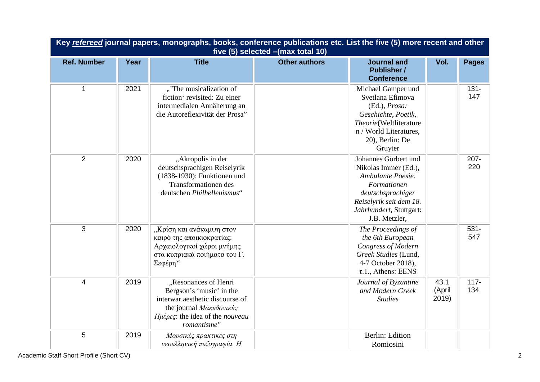| Key refereed journal papers, monographs, books, conference publications etc. List the five (5) more recent and other<br>five (5) selected - (max total 10) |      |                                                                                                                                                                  |                      |                                                                                                                                                                              |                         |                 |
|------------------------------------------------------------------------------------------------------------------------------------------------------------|------|------------------------------------------------------------------------------------------------------------------------------------------------------------------|----------------------|------------------------------------------------------------------------------------------------------------------------------------------------------------------------------|-------------------------|-----------------|
| <b>Ref. Number</b>                                                                                                                                         | Year | <b>Title</b>                                                                                                                                                     | <b>Other authors</b> | <b>Journal and</b><br><b>Publisher /</b><br><b>Conference</b>                                                                                                                | Vol.                    | <b>Pages</b>    |
| 1                                                                                                                                                          | 2021 | "'The musicalization of<br>fiction' revisited: Zu einer<br>intermedialen Annäherung an<br>die Autoreflexivität der Prosa"                                        |                      | Michael Gamper und<br>Svetlana Efimova<br>(Ed.), Prosa:<br>Geschichte, Poetik,<br>Theorie(Weltliterature<br>n / World Literatures,<br>20), Berlin: De<br>Gruyter             |                         | $131 -$<br>147  |
| $\overline{2}$                                                                                                                                             | 2020 | "Akropolis in der<br>deutschsprachigen Reiselyrik<br>(1838-1930): Funktionen und<br><b>Transformationen</b> des<br>deutschen Philhellenismus"                    |                      | Johannes Görbert und<br>Nikolas Immer (Ed.),<br>Ambulante Poesie.<br>Formationen<br>deutschsprachiger<br>Reiselyrik seit dem 18.<br>Jahrhundert, Stuttgart:<br>J.B. Metzler, |                         | 207-<br>220     |
| $\overline{3}$                                                                                                                                             | 2020 | ,, Κρίση και ανάκαμψη στον<br>καιρό της αποικιοκρατίας:<br>Αρχαιολογικοί χώροι μνήμης<br>στα κυπριακά ποιήματα του Γ.<br>Σεφέρη"                                 |                      | The Proceedings of<br>the 6th European<br>Congress of Modern<br>Greek Studies (Lund,<br>4-7 October 2018),<br>$\tau.1.,$ Athens: EENS                                        |                         | $531 -$<br>547  |
| $\overline{4}$                                                                                                                                             | 2019 | "Resonances of Henri<br>Bergson's 'music' in the<br>interwar aesthetic discourse of<br>the journal Μακεδονικές<br>Hμέρες: the idea of the nouveau<br>romantisme" |                      | Journal of Byzantine<br>and Modern Greek<br><b>Studies</b>                                                                                                                   | 43.1<br>(April<br>2019) | $117 -$<br>134. |
| $\overline{5}$                                                                                                                                             | 2019 | Μουσικές πρακτικές στη<br>νεοελληνική πεζογραφία. Η                                                                                                              |                      | Berlin: Edition<br>Romiosini                                                                                                                                                 |                         |                 |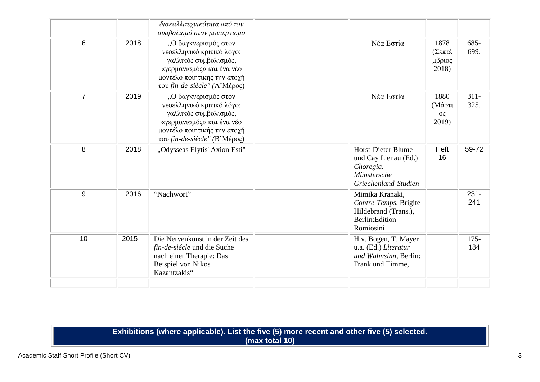|                |      | διακαλλιτεχνικότητα από τον<br>συμβολισμό στον μοντερνισμό                                                                                                               |                                                                                                       |                                     |                 |
|----------------|------|--------------------------------------------------------------------------------------------------------------------------------------------------------------------------|-------------------------------------------------------------------------------------------------------|-------------------------------------|-----------------|
| 6              | 2018 | "Ο βαγκνερισμός στον<br>νεοελληνικό κριτικό λόγο:<br>γαλλικός συμβολισμός,<br>«γερμανισμός» και ένα νέο<br>μοντέλο ποιητικής την εποχή<br>του fin-de-siècle" (Α'Μέρος)   | Νέα Εστία                                                                                             | 1878<br>(Σεπτέ<br>μβριος<br>2018)   | 685-<br>699.    |
| $\overline{7}$ | 2019 | ,, Ο βαγκνερισμός στον<br>νεοελληνικό κριτικό λόγο:<br>γαλλικός συμβολισμός,<br>«γερμανισμός» και ένα νέο<br>μοντέλο ποιητικής την εποχή<br>του fin-de-siècle" (Β'Μέρος) | Νέα Εστία                                                                                             | 1880<br>(Μάρτι<br>$O\zeta$<br>2019) | $311 -$<br>325. |
| 8              | 2018 | "Odysseas Elytis' Axion Esti"                                                                                                                                            | <b>Horst-Dieter Blume</b><br>und Cay Lienau (Ed.)<br>Choregia.<br>Münstersche<br>Griechenland-Studien | Heft<br>16                          | 59-72           |
| 9              | 2016 | "Nachwort"                                                                                                                                                               | Mimika Kranaki,<br>Contre-Temps, Brigite<br>Hildebrand (Trans.),<br>Berlin: Edition<br>Romiosini      |                                     | $231 -$<br>241  |
| 10             | 2015 | Die Nervenkunst in der Zeit des<br>fin-de-siécle und die Suche<br>nach einer Therapie: Das<br>Beispiel von Nikos<br>Kazantzakis"                                         | H.v. Bogen, T. Mayer<br>u.a. (Ed.) Literatur<br>und Wahnsinn, Berlin:<br>Frank und Timme,             |                                     | $175 -$<br>184  |
|                |      |                                                                                                                                                                          |                                                                                                       |                                     |                 |

## **Exhibitions (where applicable). List the five (5) more recent and other five (5) selected. (max total 10)**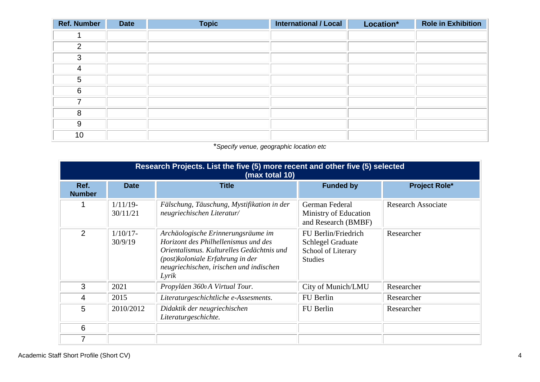| <b>Ref. Number</b> | <b>Date</b> | <b>Topic</b> | <b>International / Local</b> | Location* | <b>Role in Exhibition</b> |
|--------------------|-------------|--------------|------------------------------|-----------|---------------------------|
|                    |             |              |                              |           |                           |
| 2                  |             |              |                              |           |                           |
| 3                  |             |              |                              |           |                           |
| 4                  |             |              |                              |           |                           |
| 5                  |             |              |                              |           |                           |
| 6                  |             |              |                              |           |                           |
| 7                  |             |              |                              |           |                           |
| 8                  |             |              |                              |           |                           |
| 9                  |             |              |                              |           |                           |
| 10                 |             |              |                              |           |                           |

\**Specify venue, geographic location etc*

|                       | Research Projects. List the five (5) more recent and other five (5) selected<br>(max total 10) |                                                                                                                                                                                                                  |                                                                                         |                           |  |  |
|-----------------------|------------------------------------------------------------------------------------------------|------------------------------------------------------------------------------------------------------------------------------------------------------------------------------------------------------------------|-----------------------------------------------------------------------------------------|---------------------------|--|--|
| Ref.<br><b>Number</b> | <b>Date</b>                                                                                    | <b>Title</b>                                                                                                                                                                                                     | <b>Funded by</b>                                                                        | <b>Project Role*</b>      |  |  |
|                       | $1/11/19$ -<br>30/11/21                                                                        | Fälschung, Täuschung, Mystifikation in der<br>neugriechischen Literatur/                                                                                                                                         | German Federal<br>Ministry of Education<br>and Research (BMBF)                          | <b>Research Associate</b> |  |  |
| 2                     | $1/10/17$ -<br>30/9/19                                                                         | Archäologische Erinnerungsräume im<br>Horizont des Philhellenismus und des<br>Orientalismus, Kulturelles Gedächtnis und<br>(post) koloniale Erfahrung in der<br>neugriechischen, irischen und indischen<br>Lyrik | FU Berlin/Friedrich<br><b>Schlegel Graduate</b><br>School of Literary<br><b>Studies</b> | Researcher                |  |  |
| 3                     | 2021                                                                                           | Propyläen 3600 A Virtual Tour.                                                                                                                                                                                   | City of Munich/LMU                                                                      | Researcher                |  |  |
| 4                     | 2015                                                                                           | Literaturgeschichtliche e-Assesments.                                                                                                                                                                            | FU Berlin                                                                               | Researcher                |  |  |
| 5                     | 2010/2012                                                                                      | Didaktik der neugriechischen<br>Literaturgeschichte.                                                                                                                                                             | FU Berlin                                                                               | Researcher                |  |  |
| 6                     |                                                                                                |                                                                                                                                                                                                                  |                                                                                         |                           |  |  |
|                       |                                                                                                |                                                                                                                                                                                                                  |                                                                                         |                           |  |  |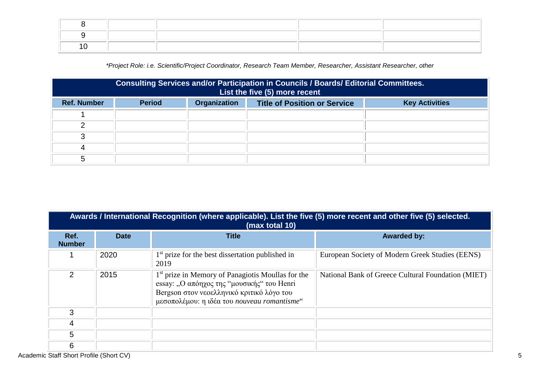*\*Project Role: i.e. Scientific/Project Coordinator, Research Team Member, Researcher, Assistant Researcher, other*

|                    | Consulting Services and/or Participation in Councils / Boards/ Editorial Committees.<br>List the five (5) more recent |              |                                     |                       |  |
|--------------------|-----------------------------------------------------------------------------------------------------------------------|--------------|-------------------------------------|-----------------------|--|
| <b>Ref. Number</b> | <b>Period</b>                                                                                                         | Organization | <b>Title of Position or Service</b> | <b>Key Activities</b> |  |
|                    |                                                                                                                       |              |                                     |                       |  |
|                    |                                                                                                                       |              |                                     |                       |  |
| ◠                  |                                                                                                                       |              |                                     |                       |  |
|                    |                                                                                                                       |              |                                     |                       |  |
|                    |                                                                                                                       |              |                                     |                       |  |

| Awards / International Recognition (where applicable). List the five (5) more recent and other five (5) selected.<br>(max total 10) |             |                                                                                                                                                                                                         |                                                    |  |  |
|-------------------------------------------------------------------------------------------------------------------------------------|-------------|---------------------------------------------------------------------------------------------------------------------------------------------------------------------------------------------------------|----------------------------------------------------|--|--|
| Ref.<br><b>Number</b>                                                                                                               | <b>Date</b> | <b>Title</b>                                                                                                                                                                                            | <b>Awarded by:</b>                                 |  |  |
|                                                                                                                                     | 2020        | $1st$ prize for the best dissertation published in<br>2019                                                                                                                                              | European Society of Modern Greek Studies (EENS)    |  |  |
| 2                                                                                                                                   | 2015        | 1 <sup>st</sup> prize in Memory of Panagiotis Moullas for the<br>essay: "Ο απόηχος της "μουσικής" του Henri<br>Bergson στον νεοελληνικό κριτικό λόγο του<br>μεσοπολέμου: η ιδέα του nouveau romantisme" | National Bank of Greece Cultural Foundation (MIET) |  |  |
| 3                                                                                                                                   |             |                                                                                                                                                                                                         |                                                    |  |  |
| 4                                                                                                                                   |             |                                                                                                                                                                                                         |                                                    |  |  |
| 5                                                                                                                                   |             |                                                                                                                                                                                                         |                                                    |  |  |
| 6                                                                                                                                   |             |                                                                                                                                                                                                         |                                                    |  |  |